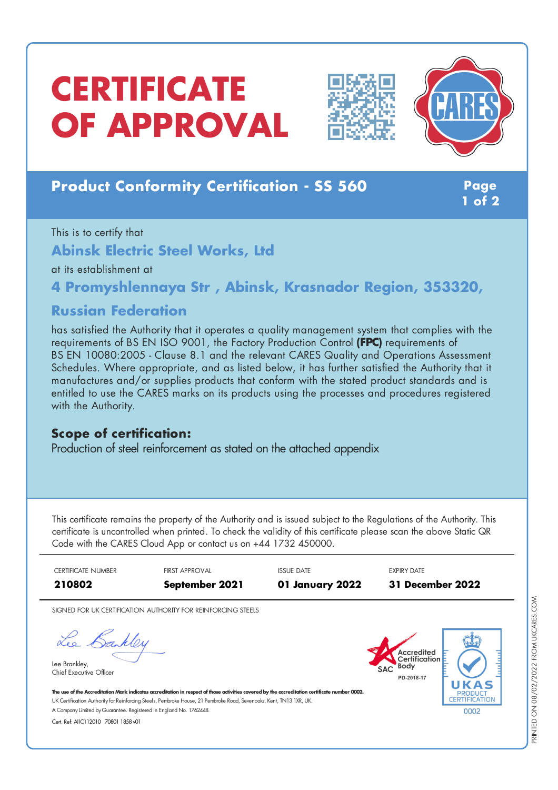# **CERTIFICATE OF APPROVAL**





## **Product Conformity Certification - SS 560 Page**

**1 of 2**

This is to certify that

**Abinsk Electric Steel Works, Ltd**

at its establishment at

**4 Promyshlennaya Str , Abinsk, Krasnador Region, 353320,**

#### **Russian Federation**

has satisfied the Authority that it operates a quality management system that complies with the requirements of BS EN ISO 9001, the Factory Production Control **(FPC)** requirements of BS EN 10080:2005 - Clause 8.1 and the relevant CARES Quality and Operations Assessment Schedules. Where appropriate, and as listed below, it has further satisfied the Authority that it manufactures and/or supplies products that conform with the stated product standards and is entitled to use the CARES marks on its products using the processes and procedures registered with the Authority.

#### **Scope of certification:**

Production of steel reinforcement as stated on the attached appendix

This certificate remains the property of the Authority and is issued subject to the Regulations of the Authority. This certificate is uncontrolled when printed. To check the validity of this certificate please scan the above Static QR Code with the CARES Cloud App or contact us on +44 1732 450000.